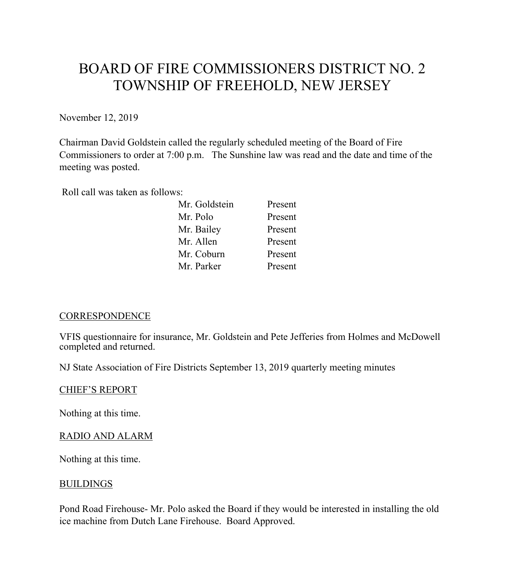# BOARD OF FIRE COMMISSIONERS DISTRICT NO. 2 TOWNSHIP OF FREEHOLD, NEW JERSEY

November 12, 2019

Chairman David Goldstein called the regularly scheduled meeting of the Board of Fire Commissioners to order at 7:00 p.m. The Sunshine law was read and the date and time of the meeting was posted.

Roll call was taken as follows:

| Mr. Goldstein | Present |
|---------------|---------|
| Mr. Polo      | Present |
| Mr. Bailey    | Present |
| Mr. Allen     | Present |
| Mr. Coburn    | Present |
| Mr. Parker    | Present |

# **CORRESPONDENCE**

VFIS questionnaire for insurance, Mr. Goldstein and Pete Jefferies from Holmes and McDowell completed and returned.

NJ State Association of Fire Districts September 13, 2019 quarterly meeting minutes

#### CHIEF'S REPORT

Nothing at this time.

# RADIO AND ALARM

Nothing at this time.

## **BUILDINGS**

Pond Road Firehouse- Mr. Polo asked the Board if they would be interested in installing the old ice machine from Dutch Lane Firehouse. Board Approved.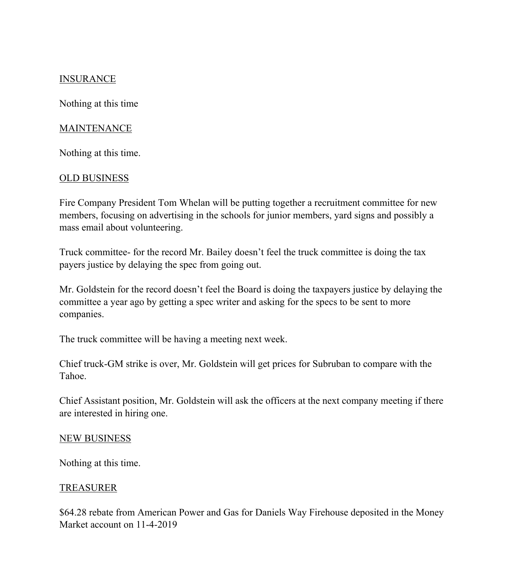# **INSURANCE**

Nothing at this time

### MAINTENANCE

Nothing at this time.

## OLD BUSINESS

Fire Company President Tom Whelan will be putting together a recruitment committee for new members, focusing on advertising in the schools for junior members, yard signs and possibly a mass email about volunteering.

Truck committee- for the record Mr. Bailey doesn't feel the truck committee is doing the tax payers justice by delaying the spec from going out.

Mr. Goldstein for the record doesn't feel the Board is doing the taxpayers justice by delaying the committee a year ago by getting a spec writer and asking for the specs to be sent to more companies.

The truck committee will be having a meeting next week.

Chief truck-GM strike is over, Mr. Goldstein will get prices for Subruban to compare with the Tahoe.

Chief Assistant position, Mr. Goldstein will ask the officers at the next company meeting if there are interested in hiring one.

#### NEW BUSINESS

Nothing at this time.

#### **TREASURER**

\$64.28 rebate from American Power and Gas for Daniels Way Firehouse deposited in the Money Market account on 11-4-2019